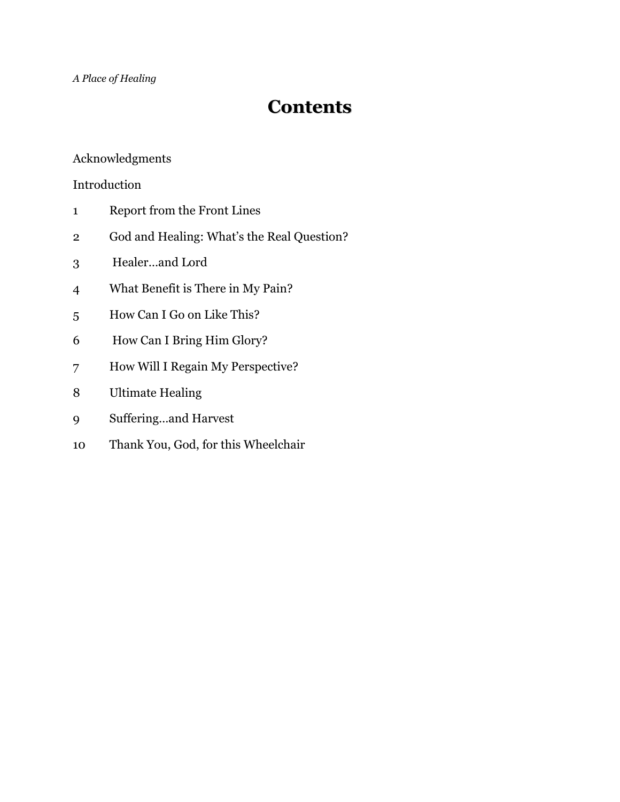*A Place of Healing* 

## **Contents**

### Acknowledgments

### Introduction

- 1 Report from the Front Lines
- 2 God and Healing: What's the Real Question?
- 3 Healer…and Lord
- 4 What Benefit is There in My Pain?
- 5 How Can I Go on Like This?
- 6 How Can I Bring Him Glory?
- 7 How Will I Regain My Perspective?
- 8 Ultimate Healing
- 9 Suffering…and Harvest
- 10 Thank You, God, for this Wheelchair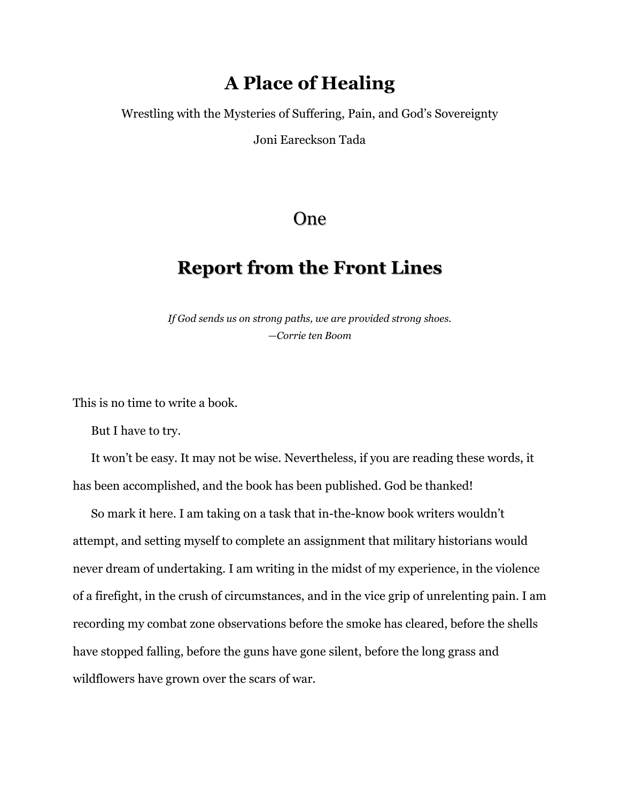# **A Place of Healing**

Wrestling with the Mysteries of Suffering, Pain, and God's Sovereignty

Joni Eareckson Tada

### One

# **Report from the Front Lines**

*If God sends us on strong paths, we are provided strong shoes. —Corrie ten Boom* 

This is no time to write a book.

But I have to try.

It won't be easy. It may not be wise. Nevertheless, if you are reading these words, it has been accomplished, and the book has been published. God be thanked!

So mark it here. I am taking on a task that in-the-know book writers wouldn't attempt, and setting myself to complete an assignment that military historians would never dream of undertaking. I am writing in the midst of my experience, in the violence of a firefight, in the crush of circumstances, and in the vice grip of unrelenting pain. I am recording my combat zone observations before the smoke has cleared, before the shells have stopped falling, before the guns have gone silent, before the long grass and wildflowers have grown over the scars of war.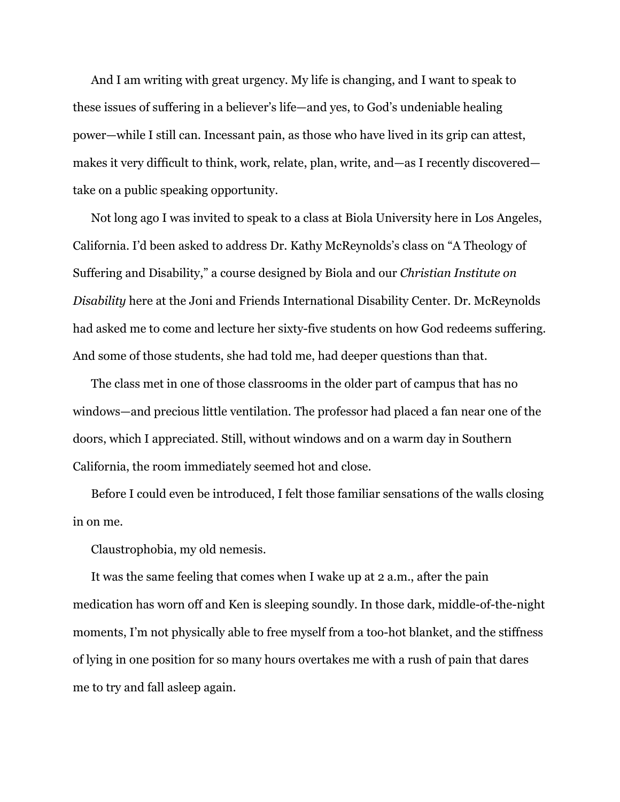And I am writing with great urgency. My life is changing, and I want to speak to these issues of suffering in a believer's life—and yes, to God's undeniable healing power—while I still can. Incessant pain, as those who have lived in its grip can attest, makes it very difficult to think, work, relate, plan, write, and—as I recently discovered take on a public speaking opportunity.

Not long ago I was invited to speak to a class at Biola University here in Los Angeles, California. I'd been asked to address Dr. Kathy McReynolds's class on "A Theology of Suffering and Disability," a course designed by Biola and our *Christian Institute on Disability* here at the Joni and Friends International Disability Center. Dr. McReynolds had asked me to come and lecture her sixty-five students on how God redeems suffering. And some of those students, she had told me, had deeper questions than that.

The class met in one of those classrooms in the older part of campus that has no windows—and precious little ventilation. The professor had placed a fan near one of the doors, which I appreciated. Still, without windows and on a warm day in Southern California, the room immediately seemed hot and close.

Before I could even be introduced, I felt those familiar sensations of the walls closing in on me.

Claustrophobia, my old nemesis.

It was the same feeling that comes when I wake up at 2 a.m., after the pain medication has worn off and Ken is sleeping soundly. In those dark, middle-of-the-night moments, I'm not physically able to free myself from a too-hot blanket, and the stiffness of lying in one position for so many hours overtakes me with a rush of pain that dares me to try and fall asleep again.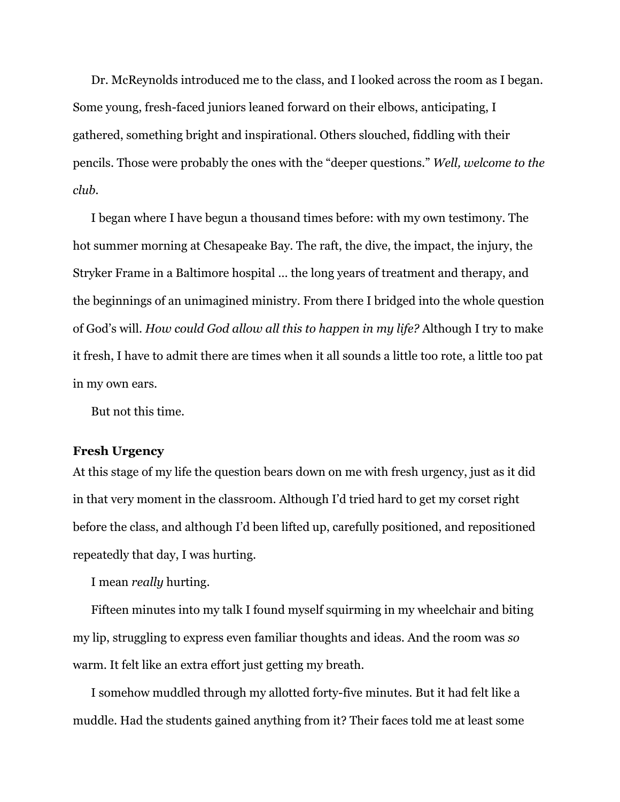Dr. McReynolds introduced me to the class, and I looked across the room as I began. Some young, fresh-faced juniors leaned forward on their elbows, anticipating, I gathered, something bright and inspirational. Others slouched, fiddling with their pencils. Those were probably the ones with the "deeper questions." *Well, welcome to the club.* 

I began where I have begun a thousand times before: with my own testimony. The hot summer morning at Chesapeake Bay. The raft, the dive, the impact, the injury, the Stryker Frame in a Baltimore hospital … the long years of treatment and therapy, and the beginnings of an unimagined ministry. From there I bridged into the whole question of God's will. *How could God allow all this to happen in my life?* Although I try to make it fresh, I have to admit there are times when it all sounds a little too rote, a little too pat in my own ears.

But not this time.

#### **Fresh Urgency**

At this stage of my life the question bears down on me with fresh urgency, just as it did in that very moment in the classroom. Although I'd tried hard to get my corset right before the class, and although I'd been lifted up, carefully positioned, and repositioned repeatedly that day, I was hurting.

I mean *really* hurting.

Fifteen minutes into my talk I found myself squirming in my wheelchair and biting my lip, struggling to express even familiar thoughts and ideas. And the room was *so* warm. It felt like an extra effort just getting my breath.

I somehow muddled through my allotted forty-five minutes. But it had felt like a muddle. Had the students gained anything from it? Their faces told me at least some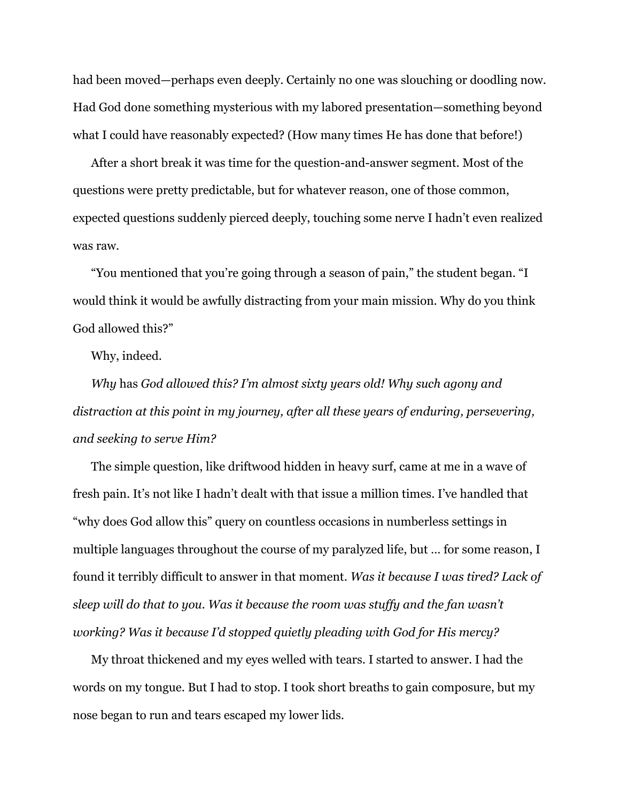had been moved—perhaps even deeply. Certainly no one was slouching or doodling now. Had God done something mysterious with my labored presentation—something beyond what I could have reasonably expected? (How many times He has done that before!)

After a short break it was time for the question-and-answer segment. Most of the questions were pretty predictable, but for whatever reason, one of those common, expected questions suddenly pierced deeply, touching some nerve I hadn't even realized was raw.

"You mentioned that you're going through a season of pain," the student began. "I would think it would be awfully distracting from your main mission. Why do you think God allowed this?"

Why, indeed.

*Why* has *God allowed this? I'm almost sixty years old! Why such agony and distraction at this point in my journey, after all these years of enduring, persevering, and seeking to serve Him?* 

The simple question, like driftwood hidden in heavy surf, came at me in a wave of fresh pain. It's not like I hadn't dealt with that issue a million times. I've handled that "why does God allow this" query on countless occasions in numberless settings in multiple languages throughout the course of my paralyzed life, but … for some reason, I found it terribly difficult to answer in that moment. *Was it because I was tired? Lack of sleep will do that to you. Was it because the room was stuffy and the fan wasn't working? Was it because I'd stopped quietly pleading with God for His mercy?*

My throat thickened and my eyes welled with tears. I started to answer. I had the words on my tongue. But I had to stop. I took short breaths to gain composure, but my nose began to run and tears escaped my lower lids.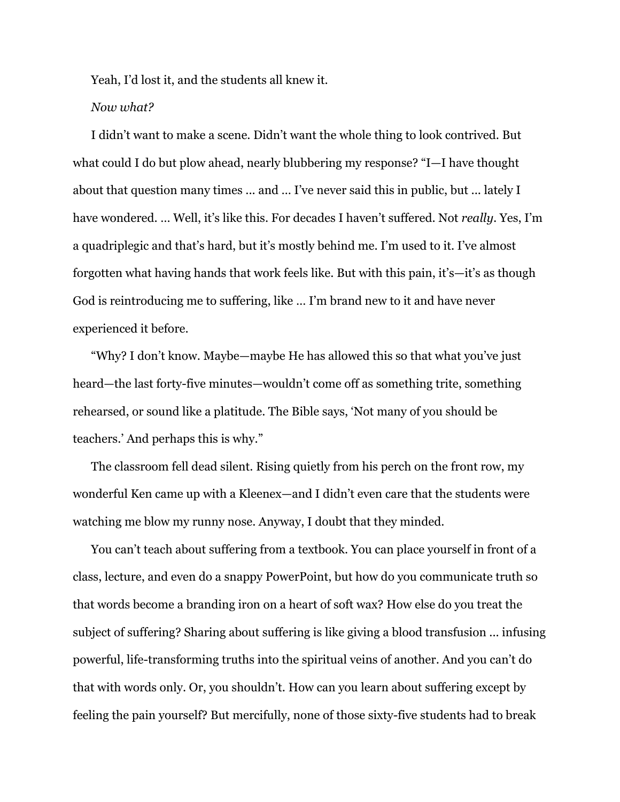Yeah, I'd lost it, and the students all knew it.

#### *Now what?*

I didn't want to make a scene. Didn't want the whole thing to look contrived. But what could I do but plow ahead, nearly blubbering my response? "I—I have thought about that question many times ... and … I've never said this in public, but ... lately I have wondered. … Well, it's like this. For decades I haven't suffered. Not *really.* Yes, I'm a quadriplegic and that's hard, but it's mostly behind me. I'm used to it. I've almost forgotten what having hands that work feels like. But with this pain, it's—it's as though God is reintroducing me to suffering, like … I'm brand new to it and have never experienced it before.

"Why? I don't know. Maybe—maybe He has allowed this so that what you've just heard—the last forty-five minutes—wouldn't come off as something trite, something rehearsed, or sound like a platitude. The Bible says, 'Not many of you should be teachers.' And perhaps this is why."

The classroom fell dead silent. Rising quietly from his perch on the front row, my wonderful Ken came up with a Kleenex—and I didn't even care that the students were watching me blow my runny nose. Anyway, I doubt that they minded.

You can't teach about suffering from a textbook. You can place yourself in front of a class, lecture, and even do a snappy PowerPoint, but how do you communicate truth so that words become a branding iron on a heart of soft wax? How else do you treat the subject of suffering? Sharing about suffering is like giving a blood transfusion ... infusing powerful, life-transforming truths into the spiritual veins of another. And you can't do that with words only. Or, you shouldn't. How can you learn about suffering except by feeling the pain yourself? But mercifully, none of those sixty-five students had to break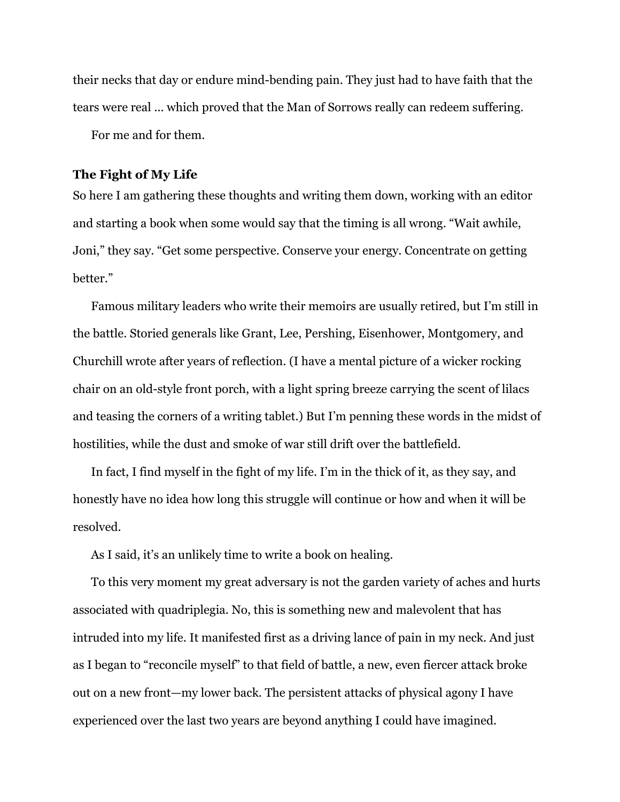their necks that day or endure mind-bending pain. They just had to have faith that the tears were real ... which proved that the Man of Sorrows really can redeem suffering.

For me and for them.

#### **The Fight of My Life**

So here I am gathering these thoughts and writing them down, working with an editor and starting a book when some would say that the timing is all wrong. "Wait awhile, Joni," they say. "Get some perspective. Conserve your energy. Concentrate on getting better."

Famous military leaders who write their memoirs are usually retired, but I'm still in the battle. Storied generals like Grant, Lee, Pershing, Eisenhower, Montgomery, and Churchill wrote after years of reflection. (I have a mental picture of a wicker rocking chair on an old-style front porch, with a light spring breeze carrying the scent of lilacs and teasing the corners of a writing tablet.) But I'm penning these words in the midst of hostilities, while the dust and smoke of war still drift over the battlefield.

In fact, I find myself in the fight of my life. I'm in the thick of it, as they say, and honestly have no idea how long this struggle will continue or how and when it will be resolved.

As I said, it's an unlikely time to write a book on healing.

To this very moment my great adversary is not the garden variety of aches and hurts associated with quadriplegia. No, this is something new and malevolent that has intruded into my life. It manifested first as a driving lance of pain in my neck. And just as I began to "reconcile myself" to that field of battle, a new, even fiercer attack broke out on a new front—my lower back. The persistent attacks of physical agony I have experienced over the last two years are beyond anything I could have imagined.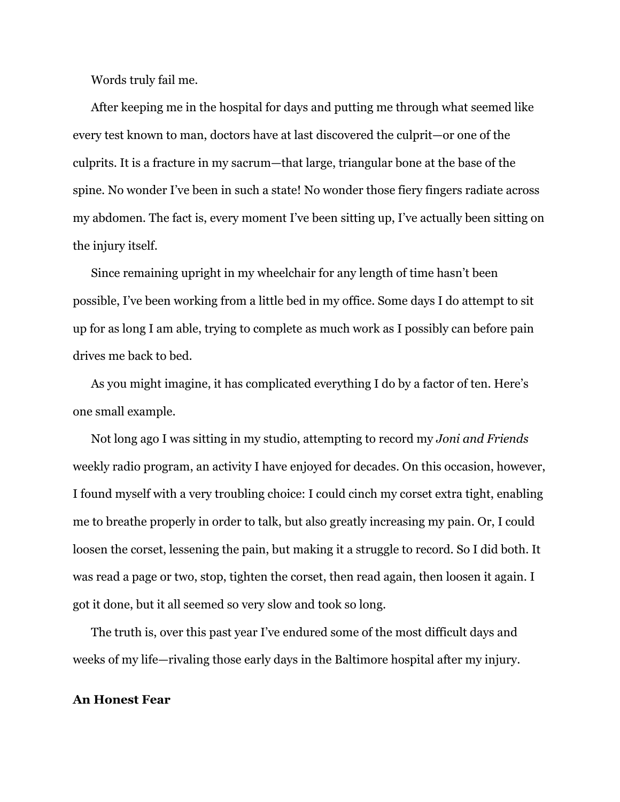Words truly fail me.

After keeping me in the hospital for days and putting me through what seemed like every test known to man, doctors have at last discovered the culprit—or one of the culprits. It is a fracture in my sacrum—that large, triangular bone at the base of the spine. No wonder I've been in such a state! No wonder those fiery fingers radiate across my abdomen. The fact is, every moment I've been sitting up, I've actually been sitting on the injury itself.

Since remaining upright in my wheelchair for any length of time hasn't been possible, I've been working from a little bed in my office. Some days I do attempt to sit up for as long I am able, trying to complete as much work as I possibly can before pain drives me back to bed.

As you might imagine, it has complicated everything I do by a factor of ten. Here's one small example.

Not long ago I was sitting in my studio, attempting to record my *Joni and Friends*  weekly radio program, an activity I have enjoyed for decades. On this occasion, however, I found myself with a very troubling choice: I could cinch my corset extra tight, enabling me to breathe properly in order to talk, but also greatly increasing my pain. Or, I could loosen the corset, lessening the pain, but making it a struggle to record. So I did both. It was read a page or two, stop, tighten the corset, then read again, then loosen it again. I got it done, but it all seemed so very slow and took so long.

The truth is, over this past year I've endured some of the most difficult days and weeks of my life—rivaling those early days in the Baltimore hospital after my injury.

#### **An Honest Fear**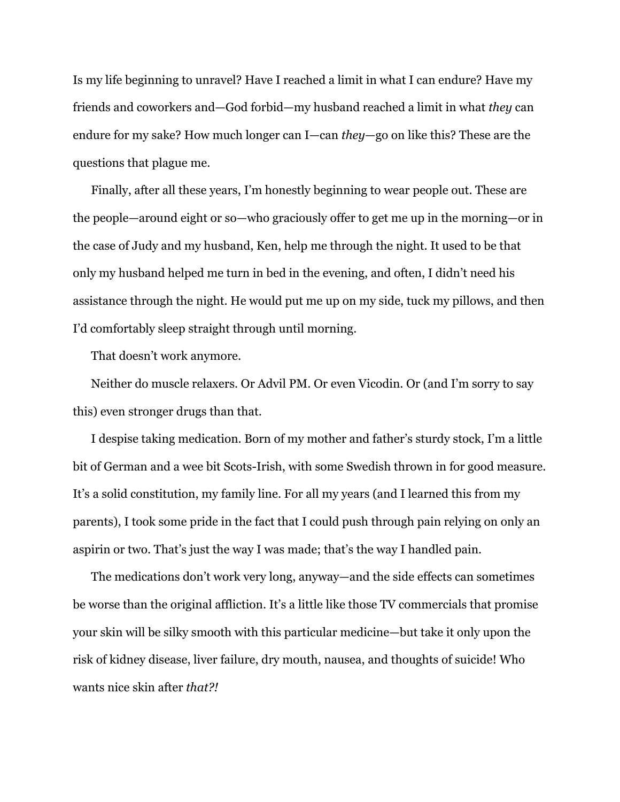Is my life beginning to unravel? Have I reached a limit in what I can endure? Have my friends and coworkers and—God forbid—my husband reached a limit in what *they* can endure for my sake? How much longer can I—can *they*—go on like this? These are the questions that plague me.

Finally, after all these years, I'm honestly beginning to wear people out. These are the people—around eight or so—who graciously offer to get me up in the morning—or in the case of Judy and my husband, Ken, help me through the night. It used to be that only my husband helped me turn in bed in the evening, and often, I didn't need his assistance through the night. He would put me up on my side, tuck my pillows, and then I'd comfortably sleep straight through until morning.

That doesn't work anymore.

Neither do muscle relaxers. Or Advil PM. Or even Vicodin. Or (and I'm sorry to say this) even stronger drugs than that.

I despise taking medication. Born of my mother and father's sturdy stock, I'm a little bit of German and a wee bit Scots-Irish, with some Swedish thrown in for good measure. It's a solid constitution, my family line. For all my years (and I learned this from my parents), I took some pride in the fact that I could push through pain relying on only an aspirin or two. That's just the way I was made; that's the way I handled pain.

The medications don't work very long, anyway—and the side effects can sometimes be worse than the original affliction. It's a little like those TV commercials that promise your skin will be silky smooth with this particular medicine—but take it only upon the risk of kidney disease, liver failure, dry mouth, nausea, and thoughts of suicide! Who wants nice skin after *that?!*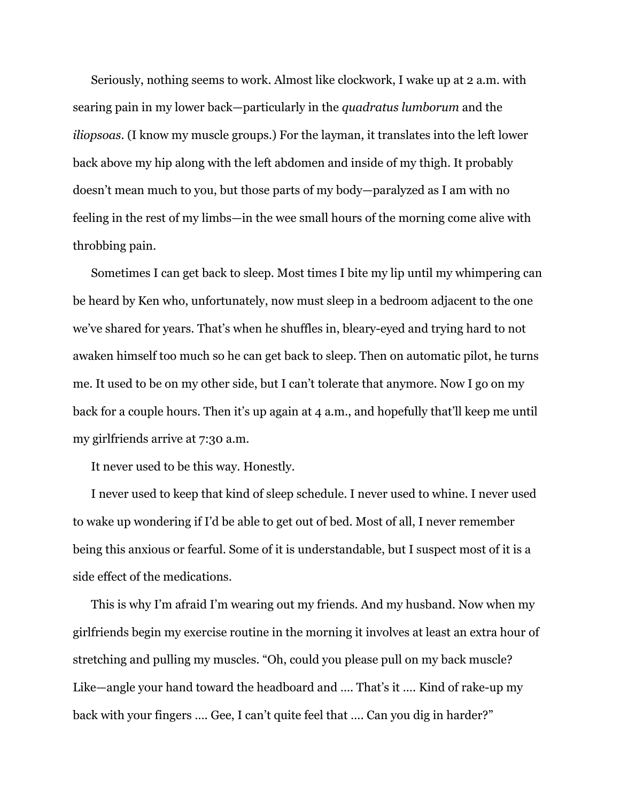Seriously, nothing seems to work. Almost like clockwork, I wake up at 2 a.m. with searing pain in my lower back—particularly in the *quadratus lumborum* and the *iliopsoas.* (I know my muscle groups.) For the layman, it translates into the left lower back above my hip along with the left abdomen and inside of my thigh. It probably doesn't mean much to you, but those parts of my body—paralyzed as I am with no feeling in the rest of my limbs—in the wee small hours of the morning come alive with throbbing pain.

Sometimes I can get back to sleep. Most times I bite my lip until my whimpering can be heard by Ken who, unfortunately, now must sleep in a bedroom adjacent to the one we've shared for years. That's when he shuffles in, bleary-eyed and trying hard to not awaken himself too much so he can get back to sleep. Then on automatic pilot, he turns me. It used to be on my other side, but I can't tolerate that anymore. Now I go on my back for a couple hours. Then it's up again at 4 a.m., and hopefully that'll keep me until my girlfriends arrive at 7:30 a.m.

It never used to be this way. Honestly.

I never used to keep that kind of sleep schedule. I never used to whine. I never used to wake up wondering if I'd be able to get out of bed. Most of all, I never remember being this anxious or fearful. Some of it is understandable, but I suspect most of it is a side effect of the medications.

This is why I'm afraid I'm wearing out my friends. And my husband. Now when my girlfriends begin my exercise routine in the morning it involves at least an extra hour of stretching and pulling my muscles. "Oh, could you please pull on my back muscle? Like—angle your hand toward the headboard and …. That's it …. Kind of rake-up my back with your fingers …. Gee, I can't quite feel that …. Can you dig in harder?"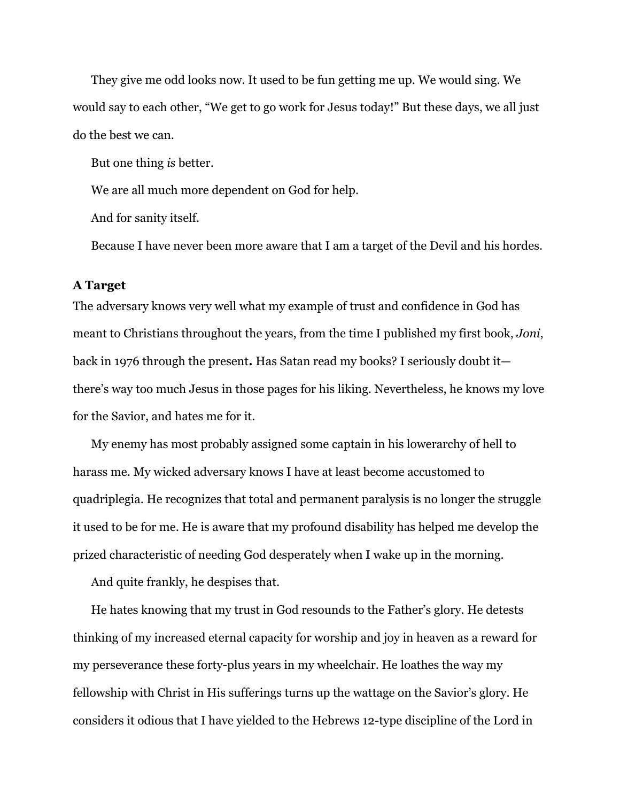They give me odd looks now. It used to be fun getting me up. We would sing. We would say to each other, "We get to go work for Jesus today!" But these days, we all just do the best we can.

But one thing *is* better.

We are all much more dependent on God for help.

And for sanity itself.

Because I have never been more aware that I am a target of the Devil and his hordes.

#### **A Target**

The adversary knows very well what my example of trust and confidence in God has meant to Christians throughout the years, from the time I published my first book, *Joni*, back in 1976 through the present**.** Has Satan read my books? I seriously doubt it there's way too much Jesus in those pages for his liking. Nevertheless, he knows my love for the Savior, and hates me for it.

My enemy has most probably assigned some captain in his lowerarchy of hell to harass me. My wicked adversary knows I have at least become accustomed to quadriplegia. He recognizes that total and permanent paralysis is no longer the struggle it used to be for me. He is aware that my profound disability has helped me develop the prized characteristic of needing God desperately when I wake up in the morning.

And quite frankly, he despises that.

He hates knowing that my trust in God resounds to the Father's glory. He detests thinking of my increased eternal capacity for worship and joy in heaven as a reward for my perseverance these forty-plus years in my wheelchair. He loathes the way my fellowship with Christ in His sufferings turns up the wattage on the Savior's glory. He considers it odious that I have yielded to the Hebrews 12-type discipline of the Lord in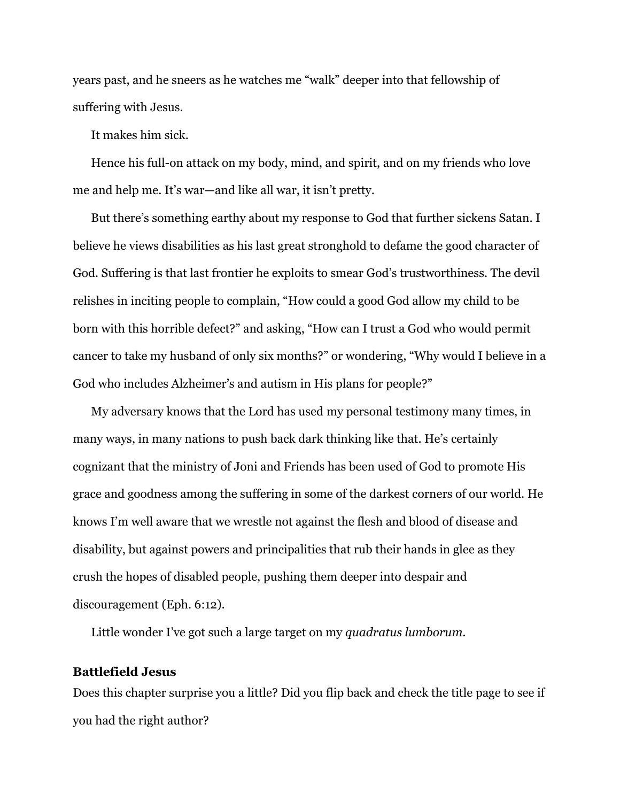years past, and he sneers as he watches me "walk" deeper into that fellowship of suffering with Jesus.

It makes him sick.

Hence his full-on attack on my body, mind, and spirit, and on my friends who love me and help me. It's war—and like all war, it isn't pretty.

But there's something earthy about my response to God that further sickens Satan. I believe he views disabilities as his last great stronghold to defame the good character of God. Suffering is that last frontier he exploits to smear God's trustworthiness. The devil relishes in inciting people to complain, "How could a good God allow my child to be born with this horrible defect?" and asking, "How can I trust a God who would permit cancer to take my husband of only six months?" or wondering, "Why would I believe in a God who includes Alzheimer's and autism in His plans for people?"

My adversary knows that the Lord has used my personal testimony many times, in many ways, in many nations to push back dark thinking like that. He's certainly cognizant that the ministry of Joni and Friends has been used of God to promote His grace and goodness among the suffering in some of the darkest corners of our world. He knows I'm well aware that we wrestle not against the flesh and blood of disease and disability, but against powers and principalities that rub their hands in glee as they crush the hopes of disabled people, pushing them deeper into despair and discouragement (Eph. 6:12).

Little wonder I've got such a large target on my *quadratus lumborum.*

#### **Battlefield Jesus**

Does this chapter surprise you a little? Did you flip back and check the title page to see if you had the right author?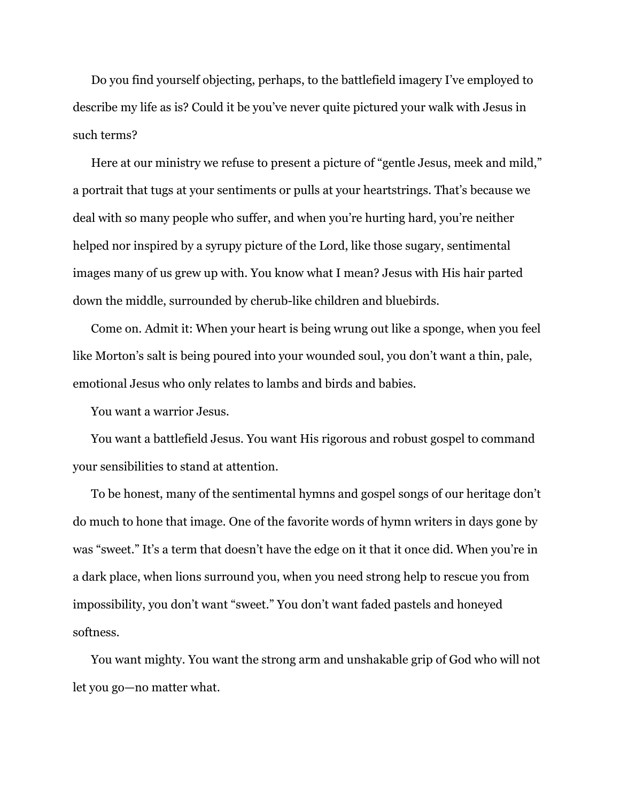Do you find yourself objecting, perhaps, to the battlefield imagery I've employed to describe my life as is? Could it be you've never quite pictured your walk with Jesus in such terms?

Here at our ministry we refuse to present a picture of "gentle Jesus, meek and mild," a portrait that tugs at your sentiments or pulls at your heartstrings. That's because we deal with so many people who suffer, and when you're hurting hard, you're neither helped nor inspired by a syrupy picture of the Lord, like those sugary, sentimental images many of us grew up with. You know what I mean? Jesus with His hair parted down the middle, surrounded by cherub-like children and bluebirds.

Come on. Admit it: When your heart is being wrung out like a sponge, when you feel like Morton's salt is being poured into your wounded soul, you don't want a thin, pale, emotional Jesus who only relates to lambs and birds and babies.

You want a warrior Jesus.

You want a battlefield Jesus. You want His rigorous and robust gospel to command your sensibilities to stand at attention.

To be honest, many of the sentimental hymns and gospel songs of our heritage don't do much to hone that image. One of the favorite words of hymn writers in days gone by was "sweet." It's a term that doesn't have the edge on it that it once did. When you're in a dark place, when lions surround you, when you need strong help to rescue you from impossibility, you don't want "sweet." You don't want faded pastels and honeyed softness.

You want mighty. You want the strong arm and unshakable grip of God who will not let you go—no matter what.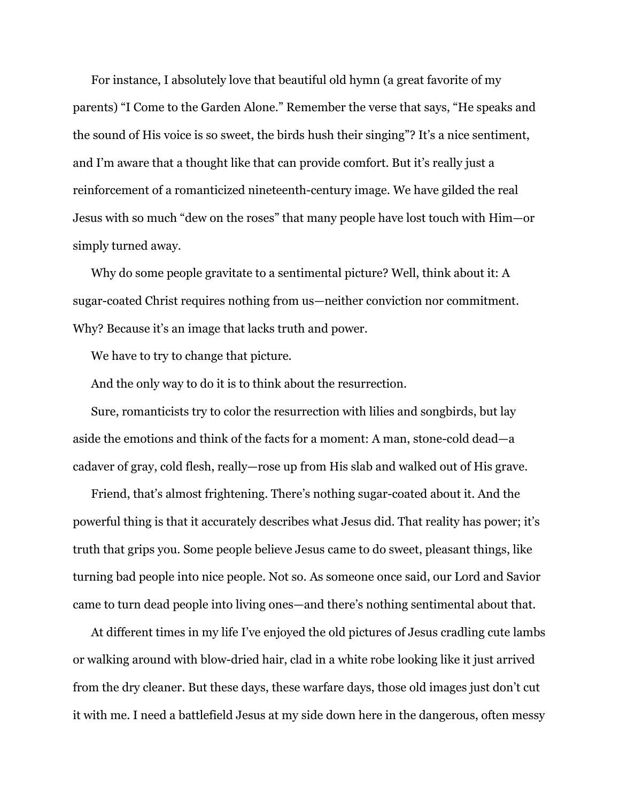For instance, I absolutely love that beautiful old hymn (a great favorite of my parents) "I Come to the Garden Alone." Remember the verse that says, "He speaks and the sound of His voice is so sweet, the birds hush their singing"? It's a nice sentiment, and I'm aware that a thought like that can provide comfort. But it's really just a reinforcement of a romanticized nineteenth-century image. We have gilded the real Jesus with so much "dew on the roses" that many people have lost touch with Him—or simply turned away.

Why do some people gravitate to a sentimental picture? Well, think about it: A sugar-coated Christ requires nothing from us—neither conviction nor commitment. Why? Because it's an image that lacks truth and power.

We have to try to change that picture.

And the only way to do it is to think about the resurrection.

Sure, romanticists try to color the resurrection with lilies and songbirds, but lay aside the emotions and think of the facts for a moment: A man, stone-cold dead—a cadaver of gray, cold flesh, really—rose up from His slab and walked out of His grave.

Friend, that's almost frightening. There's nothing sugar-coated about it. And the powerful thing is that it accurately describes what Jesus did. That reality has power; it's truth that grips you. Some people believe Jesus came to do sweet, pleasant things, like turning bad people into nice people. Not so. As someone once said, our Lord and Savior came to turn dead people into living ones—and there's nothing sentimental about that.

At different times in my life I've enjoyed the old pictures of Jesus cradling cute lambs or walking around with blow-dried hair, clad in a white robe looking like it just arrived from the dry cleaner. But these days, these warfare days, those old images just don't cut it with me. I need a battlefield Jesus at my side down here in the dangerous, often messy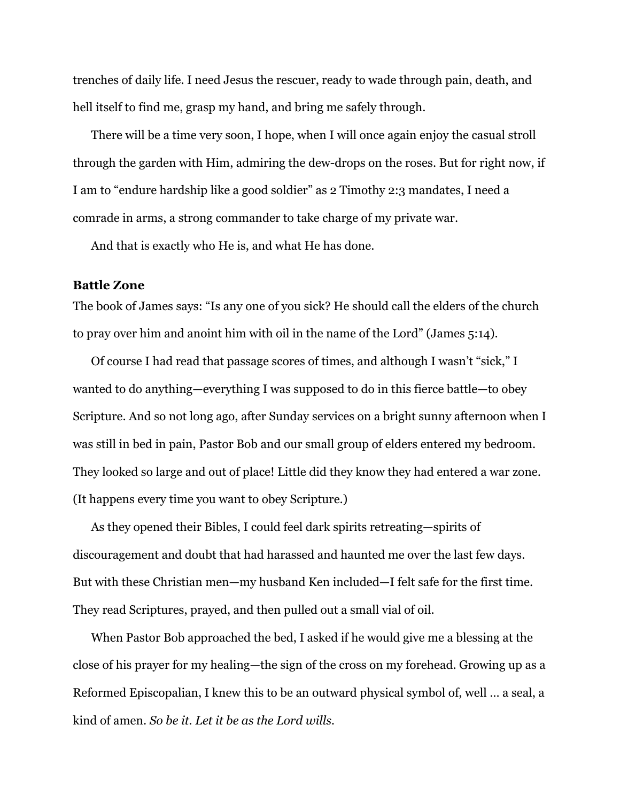trenches of daily life. I need Jesus the rescuer, ready to wade through pain, death, and hell itself to find me, grasp my hand, and bring me safely through.

There will be a time very soon, I hope, when I will once again enjoy the casual stroll through the garden with Him, admiring the dew-drops on the roses. But for right now, if I am to "endure hardship like a good soldier" as 2 Timothy 2:3 mandates, I need a comrade in arms, a strong commander to take charge of my private war.

And that is exactly who He is, and what He has done.

#### **Battle Zone**

The book of James says: "Is any one of you sick? He should call the elders of the church to pray over him and anoint him with oil in the name of the Lord" (James 5:14).

Of course I had read that passage scores of times, and although I wasn't "sick," I wanted to do anything—everything I was supposed to do in this fierce battle—to obey Scripture. And so not long ago, after Sunday services on a bright sunny afternoon when I was still in bed in pain, Pastor Bob and our small group of elders entered my bedroom. They looked so large and out of place! Little did they know they had entered a war zone. (It happens every time you want to obey Scripture.)

As they opened their Bibles, I could feel dark spirits retreating—spirits of discouragement and doubt that had harassed and haunted me over the last few days. But with these Christian men—my husband Ken included—I felt safe for the first time. They read Scriptures, prayed, and then pulled out a small vial of oil.

When Pastor Bob approached the bed, I asked if he would give me a blessing at the close of his prayer for my healing—the sign of the cross on my forehead. Growing up as a Reformed Episcopalian, I knew this to be an outward physical symbol of, well … a seal, a kind of amen. *So be it. Let it be as the Lord wills.*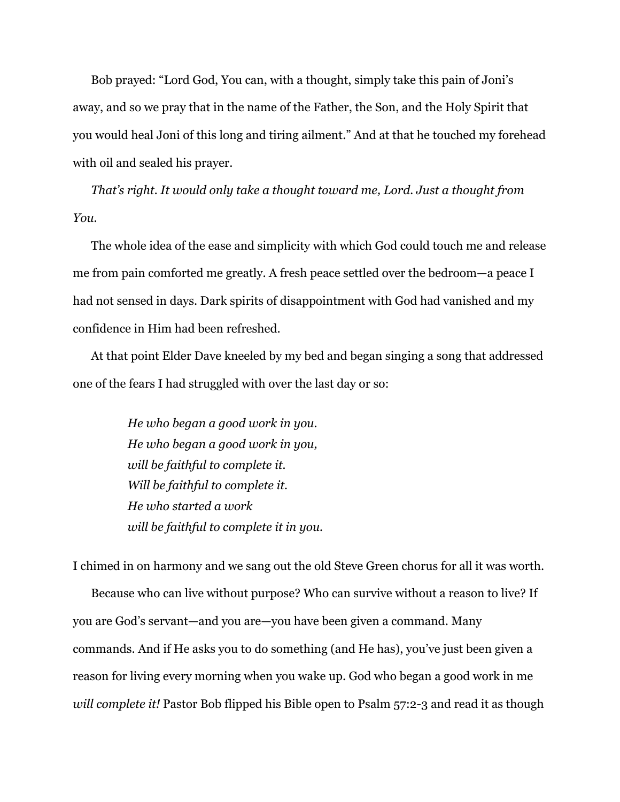Bob prayed: "Lord God, You can, with a thought, simply take this pain of Joni's away, and so we pray that in the name of the Father, the Son, and the Holy Spirit that you would heal Joni of this long and tiring ailment." And at that he touched my forehead with oil and sealed his prayer.

*That's right. It would only take a thought toward me, Lord. Just a thought from You.* 

The whole idea of the ease and simplicity with which God could touch me and release me from pain comforted me greatly. A fresh peace settled over the bedroom—a peace I had not sensed in days. Dark spirits of disappointment with God had vanished and my confidence in Him had been refreshed.

At that point Elder Dave kneeled by my bed and began singing a song that addressed one of the fears I had struggled with over the last day or so:

> *He who began a good work in you. He who began a good work in you, will be faithful to complete it. Will be faithful to complete it. He who started a work will be faithful to complete it in you.*

I chimed in on harmony and we sang out the old Steve Green chorus for all it was worth. Because who can live without purpose? Who can survive without a reason to live? If you are God's servant—and you are—you have been given a command. Many commands. And if He asks you to do something (and He has), you've just been given a reason for living every morning when you wake up. God who began a good work in me *will complete it!* Pastor Bob flipped his Bible open to Psalm 57:2-3 and read it as though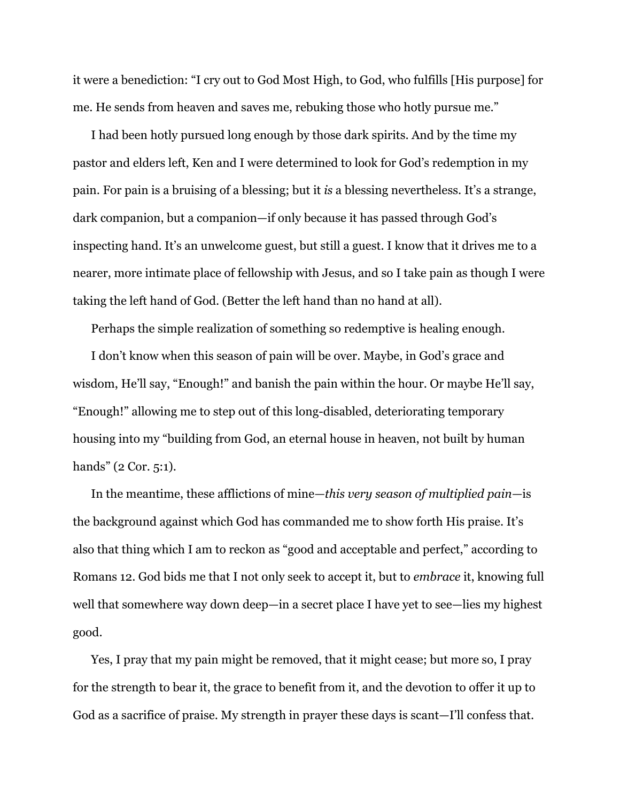it were a benediction: "I cry out to God Most High, to God, who fulfills [His purpose] for me. He sends from heaven and saves me, rebuking those who hotly pursue me."

I had been hotly pursued long enough by those dark spirits. And by the time my pastor and elders left, Ken and I were determined to look for God's redemption in my pain. For pain is a bruising of a blessing; but it *is* a blessing nevertheless. It's a strange, dark companion, but a companion—if only because it has passed through God's inspecting hand. It's an unwelcome guest, but still a guest. I know that it drives me to a nearer, more intimate place of fellowship with Jesus, and so I take pain as though I were taking the left hand of God. (Better the left hand than no hand at all).

Perhaps the simple realization of something so redemptive is healing enough.

I don't know when this season of pain will be over. Maybe, in God's grace and wisdom, He'll say, "Enough!" and banish the pain within the hour. Or maybe He'll say, "Enough!" allowing me to step out of this long-disabled, deteriorating temporary housing into my "building from God, an eternal house in heaven, not built by human hands" (2 Cor. 5:1).

In the meantime, these afflictions of mine*—this very season of multiplied pain—*is the background against which God has commanded me to show forth His praise. It's also that thing which I am to reckon as "good and acceptable and perfect," according to Romans 12. God bids me that I not only seek to accept it, but to *embrace* it, knowing full well that somewhere way down deep—in a secret place I have yet to see—lies my highest good.

Yes, I pray that my pain might be removed, that it might cease; but more so, I pray for the strength to bear it, the grace to benefit from it, and the devotion to offer it up to God as a sacrifice of praise. My strength in prayer these days is scant—I'll confess that.